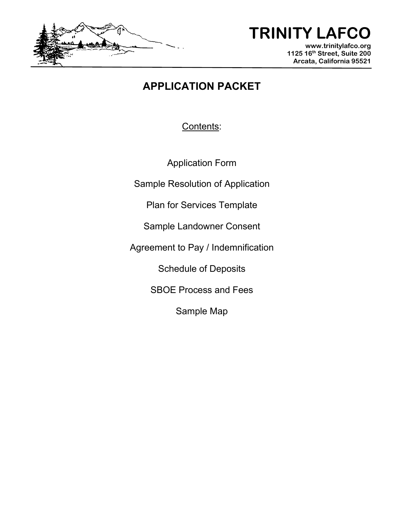

# **TRINITY LAFCO**

**www.trinitylafco.org 1125 16th Street, Suite 200 Arcata, California 95521**

## **APPLICATION PACKET**

Contents:

Application Form

Sample Resolution of Application

Plan for Services Template

Sample Landowner Consent

Agreement to Pay / Indemnification

Schedule of Deposits

SBOE Process and Fees

Sample Map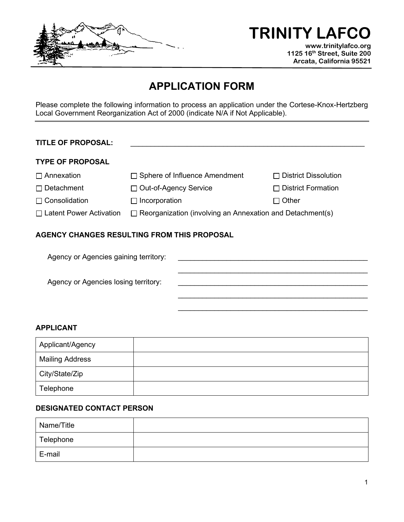

**TRINITY LAFCO** 

**www.trinitylafco.org 1125 16th Street, Suite 200 Arcata, California 95521**

### **APPLICATION FORM**

Please complete the following information to process an application under the Cortese-Knox-Hertzberg Local Government Reorganization Act of 2000 (indicate N/A if Not Applicable).

#### **TITLE OF PROPOSAL:**

#### **TYPE OF PROPOSAL**

| $\square$ Annexation | $\Box$ Sphere of Influence Amendment | □ District Dissolution    |
|----------------------|--------------------------------------|---------------------------|
| $\Box$ Detachment    | □ Out-of-Agency Service              | $\Box$ District Formation |

□ Consolidation Incorporation Incorporation Incorporation

 $\frac{1}{2}$  , and the set of the set of the set of the set of the set of the set of the set of the set of the set of the set of the set of the set of the set of the set of the set of the set of the set of the set of the set

 $\Box$  Latent Power Activation  $\Box$  Reorganization (involving an Annexation and Detachment(s)

#### **AGENCY CHANGES RESULTING FROM THIS PROPOSAL**

Agency or Agencies gaining territory:  $\mathcal{L}_\mathcal{L} = \{ \mathcal{L}_\mathcal{L} = \{ \mathcal{L}_\mathcal{L} = \{ \mathcal{L}_\mathcal{L} = \{ \mathcal{L}_\mathcal{L} = \{ \mathcal{L}_\mathcal{L} = \{ \mathcal{L}_\mathcal{L} = \{ \mathcal{L}_\mathcal{L} = \{ \mathcal{L}_\mathcal{L} = \{ \mathcal{L}_\mathcal{L} = \{ \mathcal{L}_\mathcal{L} = \{ \mathcal{L}_\mathcal{L} = \{ \mathcal{L}_\mathcal{L} = \{ \mathcal{L}_\mathcal{L} = \{ \mathcal{L}_\mathcal{$ Agency or Agencies losing territory:  $\mathcal{L}_\mathcal{L} = \{ \mathcal{L}_\mathcal{L} = \{ \mathcal{L}_\mathcal{L} = \{ \mathcal{L}_\mathcal{L} = \{ \mathcal{L}_\mathcal{L} = \{ \mathcal{L}_\mathcal{L} = \{ \mathcal{L}_\mathcal{L} = \{ \mathcal{L}_\mathcal{L} = \{ \mathcal{L}_\mathcal{L} = \{ \mathcal{L}_\mathcal{L} = \{ \mathcal{L}_\mathcal{L} = \{ \mathcal{L}_\mathcal{L} = \{ \mathcal{L}_\mathcal{L} = \{ \mathcal{L}_\mathcal{L} = \{ \mathcal{L}_\mathcal{$ 

#### **APPLICANT**

| Applicant/Agency       |  |
|------------------------|--|
| <b>Mailing Address</b> |  |
| City/State/Zip         |  |
| Telephone              |  |

#### **DESIGNATED CONTACT PERSON**

| Name/Title |  |
|------------|--|
| Telephone  |  |
| E-mail     |  |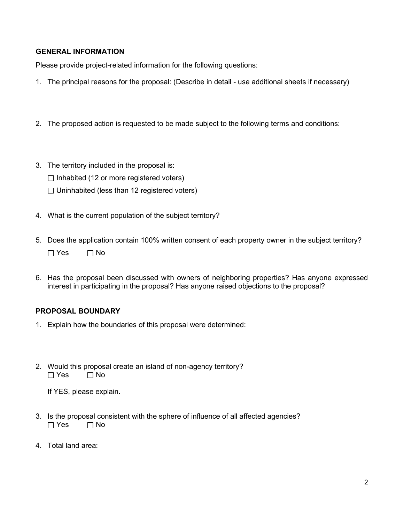#### **GENERAL INFORMATION**

Please provide project-related information for the following questions:

- 1. The principal reasons for the proposal: (Describe in detail use additional sheets if necessary)
- 2. The proposed action is requested to be made subject to the following terms and conditions:
- 3. The territory included in the proposal is:

 $\Box$  Inhabited (12 or more registered voters)

- $\Box$  Uninhabited (less than 12 registered voters)
- 4. What is the current population of the subject territory?
- 5. Does the application contain 100% written consent of each property owner in the subject territory?  $\Box$  Yes  $\Box$  No
- 6. Has the proposal been discussed with owners of neighboring properties? Has anyone expressed interest in participating in the proposal? Has anyone raised objections to the proposal?

#### **PROPOSAL BOUNDARY**

- 1. Explain how the boundaries of this proposal were determined:
- 2. Would this proposal create an island of non-agency territory?  $\Box$  Yes  $\Box$  No

If YES, please explain.

- 3. Is the proposal consistent with the sphere of influence of all affected agencies?  $\Box$  Yes  $\Box$  No
- 4. Total land area: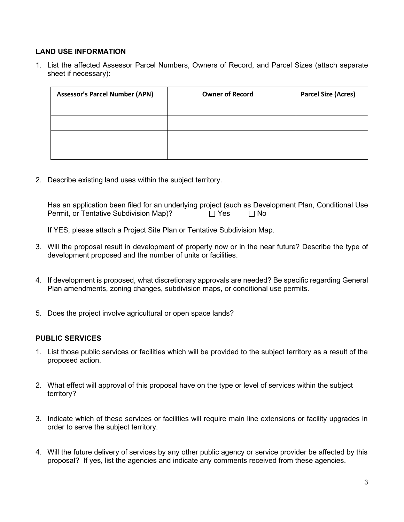#### **LAND USE INFORMATION**

1. List the affected Assessor Parcel Numbers, Owners of Record, and Parcel Sizes (attach separate sheet if necessary):

| <b>Assessor's Parcel Number (APN)</b> | <b>Owner of Record</b> | <b>Parcel Size (Acres)</b> |
|---------------------------------------|------------------------|----------------------------|
|                                       |                        |                            |
|                                       |                        |                            |
|                                       |                        |                            |
|                                       |                        |                            |

2. Describe existing land uses within the subject territory.

Has an application been filed for an underlying project (such as Development Plan, Conditional Use Permit, or Tentative Subdivision Map)?  $\Box$  Yes  $\Box$  No

If YES, please attach a Project Site Plan or Tentative Subdivision Map.

- 3. Will the proposal result in development of property now or in the near future? Describe the type of development proposed and the number of units or facilities.
- 4. If development is proposed, what discretionary approvals are needed? Be specific regarding General Plan amendments, zoning changes, subdivision maps, or conditional use permits.
- 5. Does the project involve agricultural or open space lands?

#### **PUBLIC SERVICES**

- 1. List those public services or facilities which will be provided to the subject territory as a result of the proposed action.
- 2. What effect will approval of this proposal have on the type or level of services within the subject territory?
- 3. Indicate which of these services or facilities will require main line extensions or facility upgrades in order to serve the subject territory.
- 4. Will the future delivery of services by any other public agency or service provider be affected by this proposal? If yes, list the agencies and indicate any comments received from these agencies.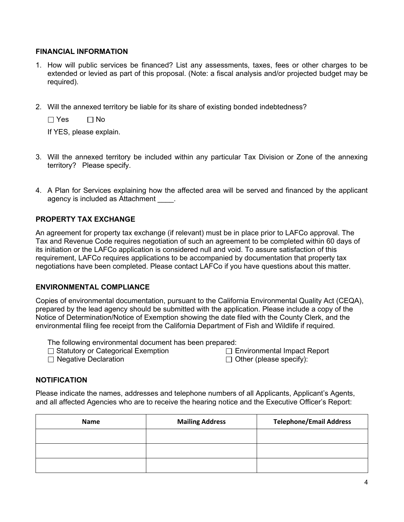#### **FINANCIAL INFORMATION**

- 1. How will public services be financed? List any assessments, taxes, fees or other charges to be extended or levied as part of this proposal. (Note: a fiscal analysis and/or projected budget may be required).
- 2. Will the annexed territory be liable for its share of existing bonded indebtedness?

 $\Box$  Yes  $\Box$  No

If YES, please explain.

- 3. Will the annexed territory be included within any particular Tax Division or Zone of the annexing territory? Please specify.
- 4. A Plan for Services explaining how the affected area will be served and financed by the applicant agency is included as Attachment .

#### **PROPERTY TAX EXCHANGE**

An agreement for property tax exchange (if relevant) must be in place prior to LAFCo approval. The Tax and Revenue Code requires negotiation of such an agreement to be completed within 60 days of its initiation or the LAFCo application is considered null and void. To assure satisfaction of this requirement, LAFCo requires applications to be accompanied by documentation that property tax negotiations have been completed. Please contact LAFCo if you have questions about this matter.

#### **ENVIRONMENTAL COMPLIANCE**

Copies of environmental documentation, pursuant to the California Environmental Quality Act (CEQA), prepared by the lead agency should be submitted with the application. Please include a copy of the Notice of Determination/Notice of Exemption showing the date filed with the County Clerk, and the environmental filing fee receipt from the California Department of Fish and Wildlife if required.

The following environmental document has been prepared:

- $\Box$  Statutory or Categorical Exemption
- □ Negative Declaration

 $\Box$  Environmental Impact Report  $\Box$  Other (please specify):

#### **NOTIFICATION**

Please indicate the names, addresses and telephone numbers of all Applicants, Applicant's Agents, and all affected Agencies who are to receive the hearing notice and the Executive Officer's Report:

| Name | <b>Mailing Address</b> | <b>Telephone/Email Address</b> |
|------|------------------------|--------------------------------|
|      |                        |                                |
|      |                        |                                |
|      |                        |                                |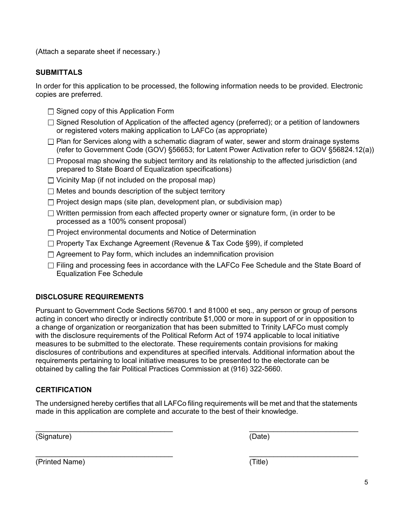(Attach a separate sheet if necessary.)

#### **SUBMITTALS**

In order for this application to be processed, the following information needs to be provided. Electronic copies are preferred.

- $\Box$  Signed copy of this Application Form
- □ Signed Resolution of Application of the affected agency (preferred); or a petition of landowners or registered voters making application to LAFCo (as appropriate)
- $\Box$  Plan for Services along with a schematic diagram of water, sewer and storm drainage systems (refer to Government Code (GOV) §56653; for Latent Power Activation refer to GOV §56824.12(a))
- $\Box$  Proposal map showing the subject territory and its relationship to the affected jurisdiction (and prepared to State Board of Equalization specifications)
- $\Box$  Vicinity Map (if not included on the proposal map)
- $\Box$  Metes and bounds description of the subject territory
- $\Box$  Project design maps (site plan, development plan, or subdivision map)
- $\Box$  Written permission from each affected property owner or signature form, (in order to be processed as a 100% consent proposal)
- $\Box$  Project environmental documents and Notice of Determination
- $\Box$  Property Tax Exchange Agreement (Revenue & Tax Code §99), if completed
- $\Box$  Agreement to Pay form, which includes an indemnification provision
- $\Box$  Filing and processing fees in accordance with the LAFCo Fee Schedule and the State Board of Equalization Fee Schedule

#### **DISCLOSURE REQUIREMENTS**

Pursuant to Government Code Sections 56700.1 and 81000 et seq., any person or group of persons acting in concert who directly or indirectly contribute \$1,000 or more in support of or in opposition to a change of organization or reorganization that has been submitted to Trinity LAFCo must comply with the disclosure requirements of the Political Reform Act of 1974 applicable to local initiative measures to be submitted to the electorate. These requirements contain provisions for making disclosures of contributions and expenditures at specified intervals. Additional information about the requirements pertaining to local initiative measures to be presented to the electorate can be obtained by calling the fair Political Practices Commission at (916) 322-5660.

#### **CERTIFICATION**

The undersigned hereby certifies that all LAFCo filing requirements will be met and that the statements made in this application are complete and accurate to the best of their knowledge.

 $\_$  , and the contribution of the contribution of  $\_$  . The contribution of  $\_$  ,  $\_$  ,  $\_$  ,  $\_$  ,  $\_$  ,  $\_$  ,  $\_$  ,  $\_$  ,  $\_$  ,  $\_$  ,  $\_$  ,  $\_$  ,  $\_$  ,  $\_$  ,  $\_$  ,  $\_$  ,  $\_$  ,  $\_$  ,  $\_$  ,  $\_$  ,  $\_$  ,  $\_$  ,  $\_$  ,  $\_$  ,

\_\_\_\_\_\_\_\_\_\_\_\_\_\_\_\_\_\_\_\_\_\_\_\_\_\_\_\_\_\_\_\_\_\_ \_\_\_\_\_\_\_\_\_\_\_\_\_\_\_\_\_\_\_\_\_\_\_\_\_\_\_

(Signature) (Date)

(Printed Name) (Title)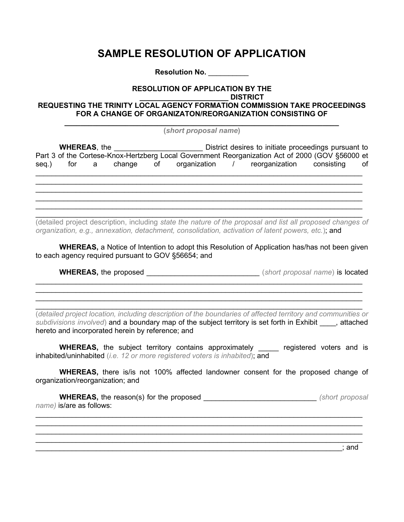### **SAMPLE RESOLUTION OF APPLICATION**

**Resolution No.** \_\_\_\_\_\_\_\_\_\_

#### **RESOLUTION OF APPLICATION BY THE**

**\_\_\_\_\_\_\_\_\_\_\_\_\_\_\_\_\_\_\_\_\_\_ DISTRICT**

#### **REQUESTING THE TRINITY LOCAL AGENCY FORMATION COMMISSION TAKE PROCEEDINGS FOR A CHANGE OF ORGANIZATON/REORGANIZATION CONSISTING OF**

**\_\_\_\_\_\_\_\_\_\_\_\_\_\_\_\_\_\_\_\_\_\_\_\_\_\_\_\_\_\_\_\_\_\_\_\_\_\_\_\_\_\_\_\_\_\_\_\_\_\_\_\_\_\_\_\_\_\_\_\_\_\_\_\_\_\_\_\_ (***short proposal name***)**

| <b>WHEREAS, the WHEREAS</b> |  |  | District desires to initiate proceedings pursuant to<br>Part 3 of the Cortese-Knox-Hertzberg Local Government Reorganization Act of 2000 (GOV §56000 et |  |                                                                   |  |  |
|-----------------------------|--|--|---------------------------------------------------------------------------------------------------------------------------------------------------------|--|-------------------------------------------------------------------|--|--|
|                             |  |  |                                                                                                                                                         |  | seg.) for a change of organization / reorganization consisting of |  |  |
|                             |  |  |                                                                                                                                                         |  |                                                                   |  |  |
|                             |  |  |                                                                                                                                                         |  |                                                                   |  |  |
|                             |  |  |                                                                                                                                                         |  |                                                                   |  |  |

(detailed project description, including *state the nature of the proposal and list all proposed changes of organization, e.g., annexation, detachment, consolidation, activation of latent powers, etc.*); and

 $\_$  ,  $\_$  ,  $\_$  ,  $\_$  ,  $\_$  ,  $\_$  ,  $\_$  ,  $\_$  ,  $\_$  ,  $\_$  ,  $\_$  ,  $\_$  ,  $\_$  ,  $\_$  ,  $\_$  ,  $\_$  ,  $\_$  ,  $\_$  ,  $\_$  ,  $\_$  ,  $\_$  ,  $\_$  ,  $\_$  ,  $\_$  ,  $\_$  ,  $\_$  ,  $\_$  ,  $\_$  ,  $\_$  ,  $\_$  ,  $\_$  ,  $\_$  ,  $\_$  ,  $\_$  ,  $\_$  ,  $\_$  ,  $\_$  ,

**WHEREAS,** a Notice of Intention to adopt this Resolution of Application has/has not been given to each agency required pursuant to GOV §56654; and

\_\_\_\_\_\_\_\_\_\_\_\_\_\_\_\_\_\_\_\_\_\_\_\_\_\_\_\_\_\_\_\_\_\_\_\_\_\_\_\_\_\_\_\_\_\_\_\_\_\_\_\_\_\_\_\_\_\_\_\_\_\_\_\_\_\_\_\_\_\_\_\_\_\_\_\_\_\_\_\_\_ \_\_\_\_\_\_\_\_\_\_\_\_\_\_\_\_\_\_\_\_\_\_\_\_\_\_\_\_\_\_\_\_\_\_\_\_\_\_\_\_\_\_\_\_\_\_\_\_\_\_\_\_\_\_\_\_\_\_\_\_\_\_\_\_\_\_\_\_\_\_\_\_\_\_\_\_\_\_\_\_\_  $\_$  ,  $\_$  ,  $\_$  ,  $\_$  ,  $\_$  ,  $\_$  ,  $\_$  ,  $\_$  ,  $\_$  ,  $\_$  ,  $\_$  ,  $\_$  ,  $\_$  ,  $\_$  ,  $\_$  ,  $\_$  ,  $\_$  ,  $\_$  ,  $\_$  ,  $\_$  ,  $\_$  ,  $\_$  ,  $\_$  ,  $\_$  ,  $\_$  ,  $\_$  ,  $\_$  ,  $\_$  ,  $\_$  ,  $\_$  ,  $\_$  ,  $\_$  ,  $\_$  ,  $\_$  ,  $\_$  ,  $\_$  ,  $\_$  ,

**WHEREAS,** the proposed \_\_\_\_\_\_\_\_\_\_\_\_\_\_\_\_\_\_\_\_\_\_\_\_\_\_\_\_ (*short proposal name*) is located

 $\_$  ,  $\_$  ,  $\_$  ,  $\_$  ,  $\_$  ,  $\_$  ,  $\_$  ,  $\_$  ,  $\_$  ,  $\_$  ,  $\_$  ,  $\_$  ,  $\_$  ,  $\_$  ,  $\_$  ,  $\_$  ,  $\_$  ,  $\_$  ,  $\_$  ,  $\_$  ,  $\_$  ,  $\_$  ,  $\_$  ,  $\_$  ,  $\_$  ,  $\_$  ,  $\_$  ,  $\_$  ,  $\_$  ,  $\_$  ,  $\_$  ,  $\_$  ,  $\_$  ,  $\_$  ,  $\_$  ,  $\_$  ,  $\_$  , (*detailed project location, including description of the boundaries of affected territory and communities or*  subdivisions involved) and a boundary map of the subject territory is set forth in Exhibit [15], attached hereto and incorporated herein by reference; and

**WHEREAS,** the subject territory contains approximately \_\_\_\_\_ registered voters and is inhabited/uninhabited (*i.e. 12 or more registered voters is inhabited*); and

**WHEREAS,** there is/is not 100% affected landowner consent for the proposed change of organization/reorganization; and

**WHEREAS,** the reason(s) for the proposed \_\_\_\_\_\_\_\_\_\_\_\_\_\_\_\_\_\_\_\_\_\_\_\_\_\_\_\_ *(short proposal name)* is/are as follows:

 $\_$  ,  $\_$  ,  $\_$  ,  $\_$  ,  $\_$  ,  $\_$  ,  $\_$  ,  $\_$  ,  $\_$  ,  $\_$  ,  $\_$  ,  $\_$  ,  $\_$  ,  $\_$  ,  $\_$  ,  $\_$  ,  $\_$  ,  $\_$  ,  $\_$  ,  $\_$  ,  $\_$  ,  $\_$  ,  $\_$  ,  $\_$  ,  $\_$  ,  $\_$  ,  $\_$  ,  $\_$  ,  $\_$  ,  $\_$  ,  $\_$  ,  $\_$  ,  $\_$  ,  $\_$  ,  $\_$  ,  $\_$  ,  $\_$  ,  $\_$  ,  $\_$  ,  $\_$  ,  $\_$  ,  $\_$  ,  $\_$  ,  $\_$  ,  $\_$  ,  $\_$  ,  $\_$  ,  $\_$  ,  $\_$  ,  $\_$  ,  $\_$  ,  $\_$  ,  $\_$  ,  $\_$  ,  $\_$  ,  $\_$  ,  $\_$  ,  $\_$  ,  $\_$  ,  $\_$  ,  $\_$  ,  $\_$  ,  $\_$  ,  $\_$  ,  $\_$  ,  $\_$  ,  $\_$  ,  $\_$  ,  $\_$  ,  $\_$  ,  $\_$  ,  $\_$  ,  $\_$  ,  $\_$  , \_\_\_\_\_\_\_\_\_\_\_\_\_\_\_\_\_\_\_\_\_\_\_\_\_\_\_\_\_\_\_\_\_\_\_\_\_\_\_\_\_\_\_\_\_\_\_\_\_\_\_\_\_\_\_\_\_\_\_\_\_\_\_\_\_\_\_\_\_\_\_\_\_\_\_\_\_\_\_\_\_ \_\_\_\_\_\_\_\_\_\_\_\_\_\_\_\_\_\_\_\_\_\_\_\_\_\_\_\_\_\_\_\_\_\_\_\_\_\_\_\_\_\_\_\_\_\_\_\_\_\_\_\_\_\_\_\_\_\_\_\_\_\_\_\_\_\_\_\_\_\_\_\_\_\_\_\_\_\_\_\_\_

\_\_\_\_\_\_\_\_\_\_\_\_\_\_\_\_\_\_\_\_\_\_\_\_\_\_\_\_\_\_\_\_\_\_\_\_\_\_\_\_\_\_\_\_\_\_\_\_\_\_\_\_\_\_\_\_\_\_\_\_\_\_\_\_\_\_\_\_\_\_\_\_\_\_\_\_; and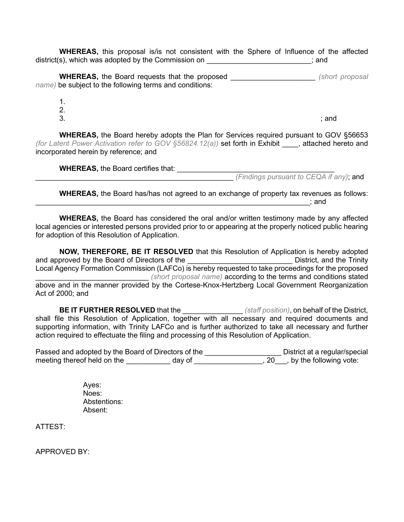**WHEREAS,** this proposal is/is not consistent with the Sphere of Influence of the affected district(s), which was adopted by the Commission on \_\_\_\_\_\_\_\_\_\_\_\_\_\_\_\_\_\_\_\_\_\_\_\_\_\_; and

**WHEREAS,** the Board requests that the proposed \_\_\_\_\_\_\_\_\_\_\_\_\_\_\_\_\_\_\_\_\_ *(short proposal name)* be subject to the following terms and conditions:

- 1. 2.
- 

 $3.$ 

**WHEREAS,** the Board hereby adopts the Plan for Services required pursuant to GOV §56653 *(for Latent Power Activation refer to GOV §56824.12(a))* set forth in Exhibit \_\_\_\_, attached hereto and incorporated herein by reference; and

**WHEREAS,** the Board certifies that: \_\_\_\_\_\_\_\_\_\_\_\_\_\_\_\_\_\_\_\_\_\_\_\_\_\_\_\_\_\_\_\_\_\_\_\_\_\_\_ \_\_\_\_\_\_\_\_\_\_\_\_\_\_\_\_\_\_\_\_\_\_\_\_\_\_\_\_\_\_\_\_\_\_\_\_\_\_\_\_\_\_\_\_\_\_\_\_\_ *(Findings pursuant to CEQA if any)*; and

**WHEREAS,** the Board has/has not agreed to an exchange of property tax revenues as follows:  $\blacksquare$  and  $\blacksquare$ 

**WHEREAS,** the Board has considered the oral and/or written testimony made by any affected local agencies or interested persons provided prior to or appearing at the properly noticed public hearing for adoption of this Resolution of Application.

**NOW, THEREFORE, BE IT RESOLVED** that this Resolution of Application is hereby adopted and approved by the Board of Directors of the \_\_\_\_\_\_\_\_\_\_\_\_\_\_\_\_\_\_\_\_\_\_\_\_\_\_\_\_\_\_\_\_\_District, and the Trinity Local Agency Formation Commission (LAFCo) is hereby requested to take proceedings for the proposed \_\_\_\_\_\_\_\_\_\_\_\_\_\_\_\_\_\_\_\_\_\_\_\_\_\_\_\_ *(short proposal name)* according to the terms and conditions stated above and in the manner provided by the Cortese-Knox-Hertzberg Local Government Reorganization Act of 2000; and

**BE IT FURTHER RESOLVED** that the \_\_\_\_\_\_\_\_\_\_\_\_\_\_\_ *(staff position)*, on behalf of the District, shall file this Resolution of Application, together with all necessary and required documents and supporting information, with Trinity LAFCo and is further authorized to take all necessary and further action required to effectuate the filing and processing of this Resolution of Application.

Passed and adopted by the Board of Directors of the **we are all assessible District at a regular/special** meeting thereof held on the \_\_\_\_\_\_\_\_\_\_\_ day of \_\_\_\_\_\_\_\_\_\_\_\_\_\_\_\_\_, 20\_\_\_, by the following vote:

> Ayes: Noes: Abstentions: Absent:

ATTEST:

APPROVED BY: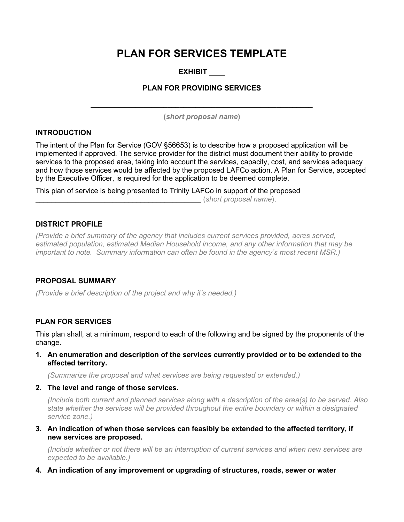### **PLAN FOR SERVICES TEMPLATE**

### **EXHIBIT \_\_\_\_**

#### **PLAN FOR PROVIDING SERVICES**

**\_\_\_\_\_\_\_\_\_\_\_\_\_\_\_\_\_\_\_\_\_\_\_\_\_\_\_\_\_\_\_\_\_\_\_\_\_\_\_\_\_\_\_\_\_\_\_\_\_\_\_\_\_\_\_ (***short proposal name***)**

#### **INTRODUCTION**

The intent of the Plan for Service (GOV §56653) is to describe how a proposed application will be implemented if approved. The service provider for the district must document their ability to provide services to the proposed area, taking into account the services, capacity, cost, and services adequacy and how those services would be affected by the proposed LAFCo action. A Plan for Service, accepted by the Executive Officer, is required for the application to be deemed complete.

This plan of service is being presented to Trinity LAFCo in support of the proposed \_\_\_\_\_\_\_\_\_\_\_\_\_\_\_\_\_\_\_\_\_\_\_\_\_\_\_\_\_\_\_\_\_\_\_\_\_\_\_\_\_ (*short proposal name*).

#### **DISTRICT PROFILE**

*(Provide a brief summary of the agency that includes current services provided, acres served, estimated population, estimated Median Household income, and any other information that may be important to note. Summary information can often be found in the agency's most recent MSR.)*

#### **PROPOSAL SUMMARY**

*(Provide a brief description of the project and why it's needed.)*

#### **PLAN FOR SERVICES**

This plan shall, at a minimum, respond to each of the following and be signed by the proponents of the change.

**1. An enumeration and description of the services currently provided or to be extended to the affected territory.** 

*(Summarize the proposal and what services are being requested or extended.)*

#### **2. The level and range of those services.**

*(Include both current and planned services along with a description of the area(s) to be served. Also state whether the services will be provided throughout the entire boundary or within a designated service zone.)*

**3. An indication of when those services can feasibly be extended to the affected territory, if new services are proposed.** 

*(Include whether or not there will be an interruption of current services and when new services are expected to be available.)*

**4. An indication of any improvement or upgrading of structures, roads, sewer or water**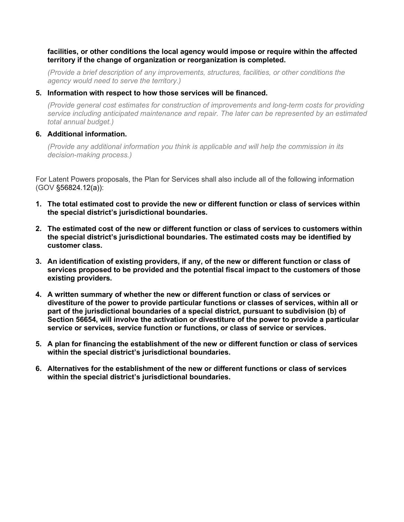#### **facilities, or other conditions the local agency would impose or require within the affected territory if the change of organization or reorganization is completed.**

*(Provide a brief description of any improvements, structures, facilities, or other conditions the agency would need to serve the territory.)*

#### **5. Information with respect to how those services will be financed.**

*(Provide general cost estimates for construction of improvements and long-term costs for providing service including anticipated maintenance and repair. The later can be represented by an estimated total annual budget.)*

#### **6. Additional information.**

*(Provide any additional information you think is applicable and will help the commission in its decision-making process.)*

For Latent Powers proposals, the Plan for Services shall also include all of the following information (GOV §56824.12(a)):

- **1. The total estimated cost to provide the new or different function or class of services within the special district's jurisdictional boundaries.**
- **2. The estimated cost of the new or different function or class of services to customers within the special district's jurisdictional boundaries. The estimated costs may be identified by customer class.**
- **3. An identification of existing providers, if any, of the new or different function or class of services proposed to be provided and the potential fiscal impact to the customers of those existing providers.**
- **4. A written summary of whether the new or different function or class of services or divestiture of the power to provide particular functions or classes of services, within all or part of the jurisdictional boundaries of a special district, pursuant to subdivision (b) of Section 56654, will involve the activation or divestiture of the power to provide a particular service or services, service function or functions, or class of service or services.**
- **5. A plan for financing the establishment of the new or different function or class of services within the special district's jurisdictional boundaries.**
- **6. Alternatives for the establishment of the new or different functions or class of services within the special district's jurisdictional boundaries.**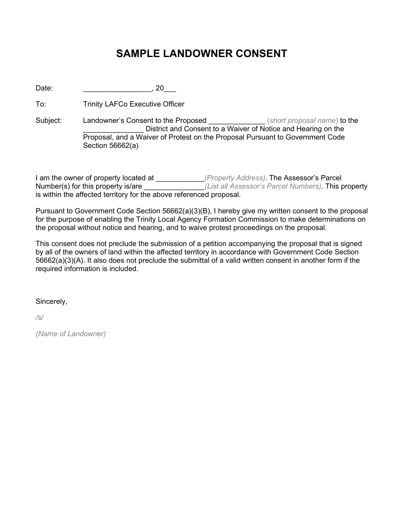### **SAMPLE LANDOWNER CONSENT**

Date: \_\_\_\_\_\_\_\_\_\_\_\_\_\_\_\_\_, 20\_\_\_

To: Trinity LAFCo Executive Officer

Subject: Landowner's Consent to the Proposed \_\_\_\_\_\_\_\_\_\_\_\_\_\_ (*short proposal name*) to the \_\_\_\_\_\_\_\_\_\_\_\_\_\_\_ District and Consent to a Waiver of Notice and Hearing on the Proposal, and a Waiver of Protest on the Proposal Pursuant to Government Code Section 56662(a)

I am the owner of property located at \_\_\_\_\_\_\_\_\_\_\_\_*(Property Address)*. The Assessor's Parcel Number(s) for this property is/are \_\_\_\_\_\_\_\_\_\_\_\_\_\_\_*(List all Assessor's Parcel Numbers)*. This property is within the affected territory for the above referenced proposal.

Pursuant to Government Code Section 56662(a)(3)(B), I hereby give my written consent to the proposal for the purpose of enabling the Trinity Local Agency Formation Commission to make determinations on the proposal without notice and hearing, and to waive protest proceedings on the proposal.

This consent does not preclude the submission of a petition accompanying the proposal that is signed by all of the owners of land within the affected territory in accordance with Government Code Section 56662(a)(3)(A). It also does not preclude the submittal of a valid written consent in another form if the required information is included.

Sincerely,

*/s/*

*(Name of Landowner)*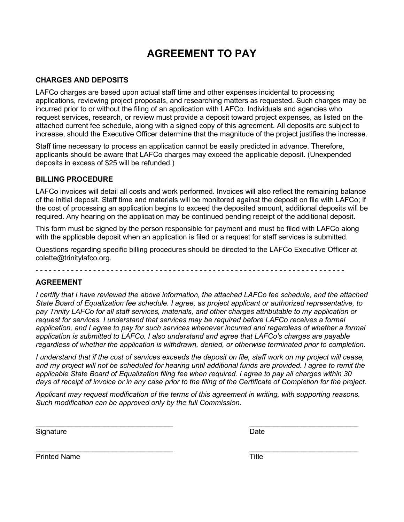### **AGREEMENT TO PAY**

#### **CHARGES AND DEPOSITS**

LAFCo charges are based upon actual staff time and other expenses incidental to processing applications, reviewing project proposals, and researching matters as requested. Such charges may be incurred prior to or without the filing of an application with LAFCo. Individuals and agencies who request services, research, or review must provide a deposit toward project expenses, as listed on the attached current fee schedule, along with a signed copy of this agreement. All deposits are subject to increase, should the Executive Officer determine that the magnitude of the project justifies the increase.

Staff time necessary to process an application cannot be easily predicted in advance. Therefore, applicants should be aware that LAFCo charges may exceed the applicable deposit. (Unexpended deposits in excess of \$25 will be refunded.)

#### **BILLING PROCEDURE**

LAFCo invoices will detail all costs and work performed. Invoices will also reflect the remaining balance of the initial deposit. Staff time and materials will be monitored against the deposit on file with LAFCo; if the cost of processing an application begins to exceed the deposited amount, additional deposits will be required. Any hearing on the application may be continued pending receipt of the additional deposit.

This form must be signed by the person responsible for payment and must be filed with LAFCo along with the applicable deposit when an application is filed or a request for staff services is submitted.

Questions regarding specific billing procedures should be directed to the LAFCo Executive Officer at colette@trinitylafco.org.

- - - - - - - - - - - - - - - - - - - - - - - - - - - - - - - - - - - - - - - - - - - - - - - - - - - - - - - - - - - - - - - - - - - - - -

#### **AGREEMENT**

*I certify that I have reviewed the above information, the attached LAFCo fee schedule, and the attached State Board of Equalization fee schedule. I agree, as project applicant or authorized representative, to pay Trinity LAFCo for all staff services, materials, and other charges attributable to my application or request for services. I understand that services may be required before LAFCo receives a formal application, and I agree to pay for such services whenever incurred and regardless of whether a formal application is submitted to LAFCo. I also understand and agree that LAFCo's charges are payable regardless of whether the application is withdrawn, denied, or otherwise terminated prior to completion.* 

*I understand that if the cost of services exceeds the deposit on file, staff work on my project will cease, and my project will not be scheduled for hearing until additional funds are provided. I agree to remit the applicable State Board of Equalization filing fee when required. I agree to pay all charges within 30 days of receipt of invoice or in any case prior to the filing of the Certificate of Completion for the project.*

*Applicant may request modification of the terms of this agreement in writing, with supporting reasons. Such modification can be approved only by the full Commission.*

 $\_$  , and the contribution of the contribution of  $\overline{\mathcal{L}}$  , and  $\overline{\mathcal{L}}$  , and  $\overline{\mathcal{L}}$  , and  $\overline{\mathcal{L}}$ 

 $\_$  , and the contribution of the contribution of  $\overline{a}$  , and  $\overline{b}$  , and  $\overline{b}$  , and  $\overline{b}$  , and  $\overline{b}$ 

Signature Date

Printed Name Title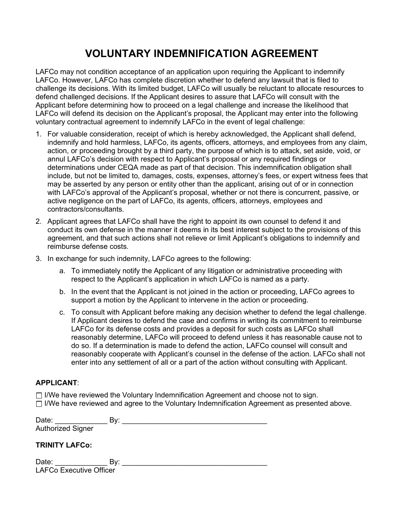### **VOLUNTARY INDEMNIFICATION AGREEMENT**

LAFCo may not condition acceptance of an application upon requiring the Applicant to indemnify LAFCo. However, LAFCo has complete discretion whether to defend any lawsuit that is filed to challenge its decisions. With its limited budget, LAFCo will usually be reluctant to allocate resources to defend challenged decisions. If the Applicant desires to assure that LAFCo will consult with the Applicant before determining how to proceed on a legal challenge and increase the likelihood that LAFCo will defend its decision on the Applicant's proposal, the Applicant may enter into the following voluntary contractual agreement to indemnify LAFCo in the event of legal challenge:

- 1. For valuable consideration, receipt of which is hereby acknowledged, the Applicant shall defend, indemnify and hold harmless, LAFCo, its agents, officers, attorneys, and employees from any claim, action, or proceeding brought by a third party, the purpose of which is to attack, set aside, void, or annul LAFCo's decision with respect to Applicant's proposal or any required findings or determinations under CEQA made as part of that decision. This indemnification obligation shall include, but not be limited to, damages, costs, expenses, attorney's fees, or expert witness fees that may be asserted by any person or entity other than the applicant, arising out of or in connection with LAFCo's approval of the Applicant's proposal, whether or not there is concurrent, passive, or active negligence on the part of LAFCo, its agents, officers, attorneys, employees and contractors/consultants.
- 2. Applicant agrees that LAFCo shall have the right to appoint its own counsel to defend it and conduct its own defense in the manner it deems in its best interest subject to the provisions of this agreement, and that such actions shall not relieve or limit Applicant's obligations to indemnify and reimburse defense costs.
- 3. In exchange for such indemnity, LAFCo agrees to the following:
	- a. To immediately notify the Applicant of any litigation or administrative proceeding with respect to the Applicant's application in which LAFCo is named as a party.
	- b. In the event that the Applicant is not joined in the action or proceeding, LAFCo agrees to support a motion by the Applicant to intervene in the action or proceeding.
	- c. To consult with Applicant before making any decision whether to defend the legal challenge. If Applicant desires to defend the case and confirms in writing its commitment to reimburse LAFCo for its defense costs and provides a deposit for such costs as LAFCo shall reasonably determine, LAFCo will proceed to defend unless it has reasonable cause not to do so. If a determination is made to defend the action, LAFCo counsel will consult and reasonably cooperate with Applicant's counsel in the defense of the action. LAFCo shall not enter into any settlement of all or a part of the action without consulting with Applicant.

#### **APPLICANT**:

 $\Box$  I/We have reviewed the Voluntary Indemnification Agreement and choose not to sign.  $\Box$  I/We have reviewed and agree to the Voluntary Indemnification Agreement as presented above.

| Date:                    | Bv: |
|--------------------------|-----|
| <b>Authorized Signer</b> |     |
|                          |     |
| <b>TRINITY LAFCo:</b>    |     |

| Date:                          |  |
|--------------------------------|--|
| <b>LAFCo Executive Officer</b> |  |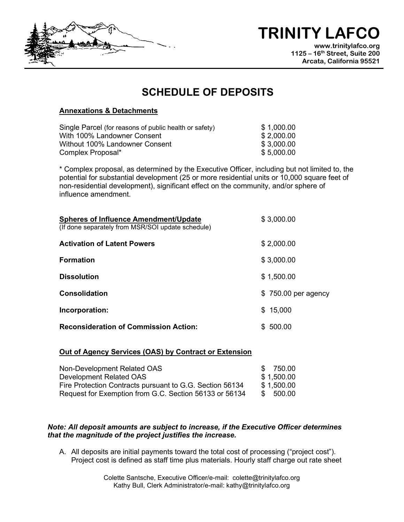# **TRINITY LAFCO**

**www.trinitylafco.org 1125 – 16th Street, Suite 200 Arcata, California 95521**

### **SCHEDULE OF DEPOSITS**

#### **Annexations & Detachments**

| Single Parcel (for reasons of public health or safety) | \$1,000.00 |
|--------------------------------------------------------|------------|
| With 100% Landowner Consent                            | \$2,000.00 |
| Without 100% Landowner Consent                         | \$3,000.00 |
| Complex Proposal*                                      | \$5,000.00 |

\* Complex proposal, as determined by the Executive Officer, including but not limited to, the potential for substantial development (25 or more residential units or 10,000 square feet of non-residential development), significant effect on the community, and/or sphere of influence amendment.

| <b>Spheres of Influence Amendment/Update</b>      | \$3,000.00          |
|---------------------------------------------------|---------------------|
| (If done separately from MSR/SOI update schedule) |                     |
| <b>Activation of Latent Powers</b>                | \$2,000.00          |
| <b>Formation</b>                                  | \$3,000.00          |
| <b>Dissolution</b>                                | \$1,500.00          |
| <b>Consolidation</b>                              | \$750.00 per agency |
| Incorporation:                                    | \$15,000            |
| <b>Reconsideration of Commission Action:</b>      | \$500.00            |

#### **Out of Agency Services (OAS) by Contract or Extension**

| Non-Development Related OAS                              | 750.00<br>S. |
|----------------------------------------------------------|--------------|
| Development Related OAS                                  | \$1,500.00   |
| Fire Protection Contracts pursuant to G.G. Section 56134 | \$1,500.00   |
| Request for Exemption from G.C. Section 56133 or 56134   | \$ 500.00    |

#### *Note: All deposit amounts are subject to increase, if the Executive Officer determines that the magnitude of the project justifies the increase.*

A. All deposits are initial payments toward the total cost of processing ("project cost"). Project cost is defined as staff time plus materials. Hourly staff charge out rate sheet

> Colette Santsche, Executive Officer/e-mail: colette@trinitylafco.org Kathy Bull, Clerk Administrator/e-mail: kathy@trinitylafco.org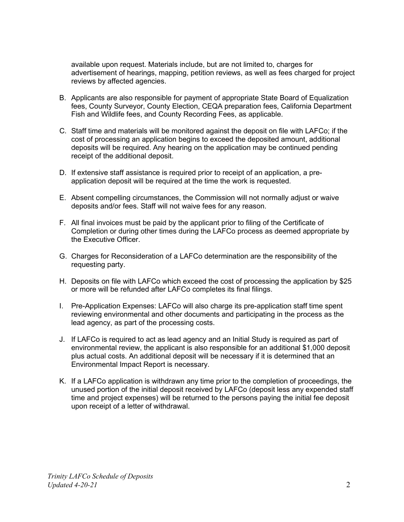available upon request. Materials include, but are not limited to, charges for advertisement of hearings, mapping, petition reviews, as well as fees charged for project reviews by affected agencies.

- B. Applicants are also responsible for payment of appropriate State Board of Equalization fees, County Surveyor, County Election, CEQA preparation fees, California Department Fish and Wildlife fees, and County Recording Fees, as applicable.
- C. Staff time and materials will be monitored against the deposit on file with LAFCo; if the cost of processing an application begins to exceed the deposited amount, additional deposits will be required. Any hearing on the application may be continued pending receipt of the additional deposit.
- D. If extensive staff assistance is required prior to receipt of an application, a preapplication deposit will be required at the time the work is requested.
- E. Absent compelling circumstances, the Commission will not normally adjust or waive deposits and/or fees. Staff will not waive fees for any reason.
- F. All final invoices must be paid by the applicant prior to filing of the Certificate of Completion or during other times during the LAFCo process as deemed appropriate by the Executive Officer.
- G. Charges for Reconsideration of a LAFCo determination are the responsibility of the requesting party.
- H. Deposits on file with LAFCo which exceed the cost of processing the application by \$25 or more will be refunded after LAFCo completes its final filings.
- I. Pre-Application Expenses: LAFCo will also charge its pre-application staff time spent reviewing environmental and other documents and participating in the process as the lead agency, as part of the processing costs.
- J. If LAFCo is required to act as lead agency and an Initial Study is required as part of environmental review, the applicant is also responsible for an additional \$1,000 deposit plus actual costs. An additional deposit will be necessary if it is determined that an Environmental Impact Report is necessary.
- K. If a LAFCo application is withdrawn any time prior to the completion of proceedings, the unused portion of the initial deposit received by LAFCo (deposit less any expended staff time and project expenses) will be returned to the persons paying the initial fee deposit upon receipt of a letter of withdrawal.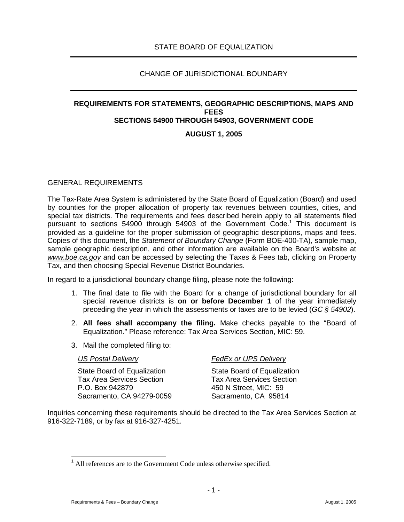#### CHANGE OF JURISDICTIONAL BOUNDARY

### **REQUIREMENTS FOR STATEMENTS, GEOGRAPHIC DESCRIPTIONS, MAPS AND FEES SECTIONS 54900 THROUGH 54903, GOVERNMENT CODE**

#### **AUGUST 1, 2005**

#### GENERAL REQUIREMENTS

The Tax-Rate Area System is administered by the State Board of Equalization (Board) and used by counties for the proper allocation of property tax revenues between counties, cities, and special tax districts. The requirements and fees described herein apply to all statements filed pursuant to sections 54900 through 54903 of the Government Code.<sup>1</sup> This document is provided as a guideline for the proper submission of geographic descriptions, maps and fees. Copies of this document, the Statement of Boundary Change (Form BOE-400-TA), sample map, sample geographic description, and other information are available on the Board's website at www.boe.ca.gov and can be accessed by selecting the Taxes & Fees tab, clicking on Property Tax, and then choosing Special Revenue District Boundaries.

In regard to a jurisdictional boundary change filing, please note the following:

- 1. The final date to file with the Board for a change of jurisdictional boundary for all special revenue districts is **on or before December 1** of the year immediately preceding the year in which the assessments or taxes are to be levied (GC  $\delta$  54902).
- 2. **All fees shall accompany the filing.** Make checks payable to the "Board of Equalization." Please reference: Tax Area Services Section, MIC: 59.
- 3. Mail the completed filing to:

State Board of Equalization State Board of Equalization Tax Area Services Section Tax Area Services Section P.O. Box 942879 450 N Street, MIC: 59 Sacramento, CA 94279-0059 Sacramento, CA 95814

#### US Postal Delivery **FedEx or UPS Delivery**

Inquiries concerning these requirements should be directed to the Tax Area Services Section at 916-322-7189, or by fax at 916-327-4251.

 $\overline{a}$ 

 $<sup>1</sup>$  All references are to the Government Code unless otherwise specified.</sup>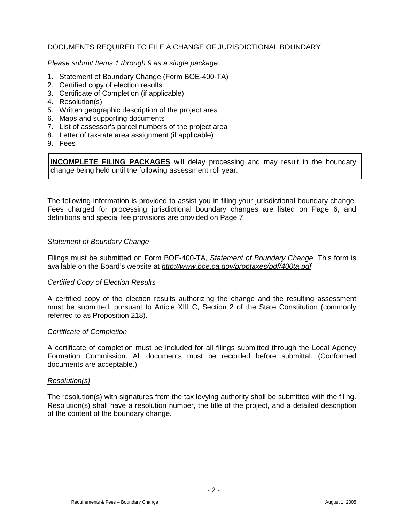#### DOCUMENTS REQUIRED TO FILE A CHANGE OF JURISDICTIONAL BOUNDARY

Please submit Items 1 through 9 as a single package:

- 1. Statement of Boundary Change (Form BOE-400-TA)
- 2. Certified copy of election results
- 3. Certificate of Completion (if applicable)
- 4. Resolution(s)
- 5. Written geographic description of the project area
- 6. Maps and supporting documents
- 7. List of assessor's parcel numbers of the project area
- 8. Letter of tax-rate area assignment (if applicable)
- 9. Fees

**INCOMPLETE FILING PACKAGES** will delay processing and may result in the boundary change being held until the following assessment roll year.

The following information is provided to assist you in filing your jurisdictional boundary change. Fees charged for processing jurisdictional boundary changes are listed on Page 6, and definitions and special fee provisions are provided on Page 7.

#### Statement of Boundary Change

Filings must be submitted on Form BOE-400-TA, Statement of Boundary Change. This form is available on the Board's website at http://www.boe.ca.gov/proptaxes/pdf/400ta.pdf.

#### Certified Copy of Election Results

A certified copy of the election results authorizing the change and the resulting assessment must be submitted, pursuant to Article XIII C, Section 2 of the State Constitution (commonly referred to as Proposition 218).

#### Certificate of Completion

A certificate of completion must be included for all filings submitted through the Local Agency Formation Commission. All documents must be recorded before submittal. (Conformed documents are acceptable.)

#### Resolution(s)

The resolution(s) with signatures from the tax levying authority shall be submitted with the filing. Resolution(s) shall have a resolution number, the title of the project, and a detailed description of the content of the boundary change.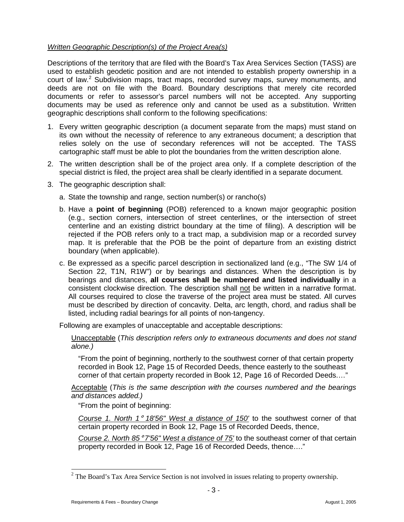#### Written Geographic Description(s) of the Project Area(s)

Descriptions of the territory that are filed with the Board's Tax Area Services Section (TASS) are used to establish geodetic position and are not intended to establish property ownership in a court of law.<sup>2</sup> Subdivision maps, tract maps, recorded survey maps, survey monuments, and deeds are not on file with the Board. Boundary descriptions that merely cite recorded documents or refer to assessor's parcel numbers will not be accepted. Any supporting documents may be used as reference only and cannot be used as a substitution. Written geographic descriptions shall conform to the following specifications:

- 1. Every written geographic description (a document separate from the maps) must stand on its own without the necessity of reference to any extraneous document; a description that relies solely on the use of secondary references will not be accepted. The TASS cartographic staff must be able to plot the boundaries from the written description alone.
- 2. The written description shall be of the project area only. If a complete description of the special district is filed, the project area shall be clearly identified in a separate document.
- 3. The geographic description shall:
	- a. State the township and range, section number(s) or rancho(s)
	- b. Have a **point of beginning** (POB) referenced to a known major geographic position (e.g., section corners, intersection of street centerlines, or the intersection of street centerline and an existing district boundary at the time of filing). A description will be rejected if the POB refers only to a tract map, a subdivision map or a recorded survey map. It is preferable that the POB be the point of departure from an existing district boundary (when applicable).
	- c. Be expressed as a specific parcel description in sectionalized land (e.g., "The SW 1/4 of Section 22, T1N, R1W") or by bearings and distances. When the description is by bearings and distances, **all courses shall be numbered and listed individually** in a consistent clockwise direction. The description shall not be written in a narrative format. All courses required to close the traverse of the project area must be stated. All curves must be described by direction of concavity. Delta, arc length, chord, and radius shall be listed, including radial bearings for all points of non-tangency.

Following are examples of unacceptable and acceptable descriptions:

Unacceptable (This description refers only to extraneous documents and does not stand alone.)

"From the point of beginning, northerly to the southwest corner of that certain property recorded in Book 12, Page 15 of Recorded Deeds, thence easterly to the southeast corner of that certain property recorded in Book 12, Page 16 of Recorded Deeds.…"

Acceptable (This is the same description with the courses numbered and the bearings and distances added.)

"From the point of beginning:

Course 1. North  $1^\circ$  18'56" West a distance of 150' to the southwest corner of that certain property recorded in Book 12, Page 15 of Recorded Deeds, thence,

Course 2. North  $85^{\circ}$  7'56" West a distance of 75' to the southeast corner of that certain property recorded in Book 12, Page 16 of Recorded Deeds, thence…."

<sup>&</sup>lt;sup>2</sup> The Board's Tax Area Service Section is not involved in issues relating to property ownership.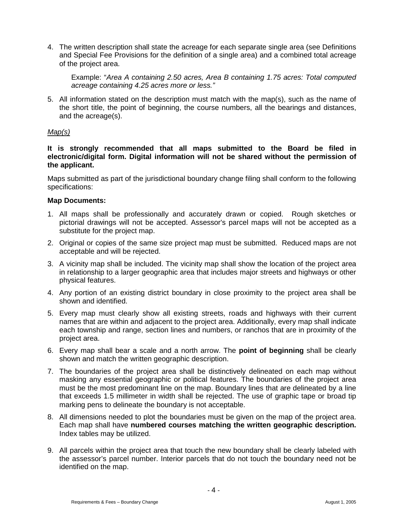4. The written description shall state the acreage for each separate single area (see Definitions and Special Fee Provisions for the definition of a single area) and a combined total acreage of the project area.

Example: "Area A containing 2.50 acres, Area B containing 1.75 acres: Total computed acreage containing 4.25 acres more or less."

5. All information stated on the description must match with the map(s), such as the name of the short title, the point of beginning, the course numbers, all the bearings and distances, and the acreage(s).

#### Map(s)

**It is strongly recommended that all maps submitted to the Board be filed in electronic/digital form. Digital information will not be shared without the permission of the applicant.** 

Maps submitted as part of the jurisdictional boundary change filing shall conform to the following specifications:

#### **Map Documents:**

- 1. All maps shall be professionally and accurately drawn or copied. Rough sketches or pictorial drawings will not be accepted. Assessor's parcel maps will not be accepted as a substitute for the project map.
- 2. Original or copies of the same size project map must be submitted. Reduced maps are not acceptable and will be rejected.
- 3. A vicinity map shall be included. The vicinity map shall show the location of the project area in relationship to a larger geographic area that includes major streets and highways or other physical features.
- 4. Any portion of an existing district boundary in close proximity to the project area shall be shown and identified.
- 5. Every map must clearly show all existing streets, roads and highways with their current names that are within and adjacent to the project area. Additionally, every map shall indicate each township and range, section lines and numbers, or ranchos that are in proximity of the project area.
- 6. Every map shall bear a scale and a north arrow. The **point of beginning** shall be clearly shown and match the written geographic description.
- 7. The boundaries of the project area shall be distinctively delineated on each map without masking any essential geographic or political features. The boundaries of the project area must be the most predominant line on the map. Boundary lines that are delineated by a line that exceeds 1.5 millimeter in width shall be rejected. The use of graphic tape or broad tip marking pens to delineate the boundary is not acceptable.
- 8. All dimensions needed to plot the boundaries must be given on the map of the project area. Each map shall have **numbered courses matching the written geographic description.** Index tables may be utilized.
- 9. All parcels within the project area that touch the new boundary shall be clearly labeled with the assessor's parcel number. Interior parcels that do not touch the boundary need not be identified on the map.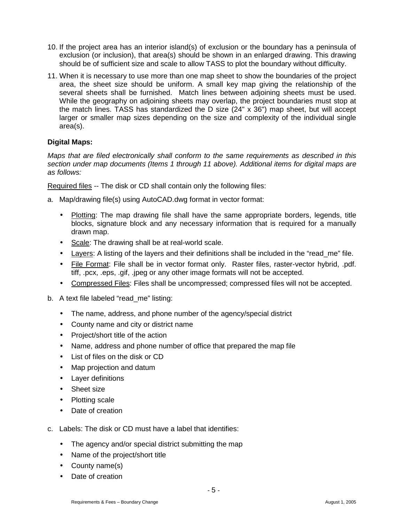- 10. If the project area has an interior island(s) of exclusion or the boundary has a peninsula of exclusion (or inclusion), that area(s) should be shown in an enlarged drawing. This drawing should be of sufficient size and scale to allow TASS to plot the boundary without difficulty.
- 11. When it is necessary to use more than one map sheet to show the boundaries of the project area, the sheet size should be uniform. A small key map giving the relationship of the several sheets shall be furnished. Match lines between adjoining sheets must be used. While the geography on adjoining sheets may overlap, the project boundaries must stop at the match lines. TASS has standardized the D size (24" x 36") map sheet, but will accept larger or smaller map sizes depending on the size and complexity of the individual single area(s).

#### **Digital Maps:**

Maps that are filed electronically shall conform to the same requirements as described in this section under map documents (Items 1 through 11 above). Additional items for digital maps are as follows:

Required files -- The disk or CD shall contain only the following files:

- a. Map/drawing file(s) using AutoCAD.dwg format in vector format:
	- Plotting: The map drawing file shall have the same appropriate borders, legends, title blocks, signature block and any necessary information that is required for a manually drawn map.
	- Scale: The drawing shall be at real-world scale.
	- Layers: A listing of the layers and their definitions shall be included in the "read\_me" file.
	- File Format: File shall be in vector format only. Raster files, raster-vector hybrid, .pdf. tiff, .pcx, .eps, .gif, .jpeg or any other image formats will not be accepted.
	- Compressed Files: Files shall be uncompressed; compressed files will not be accepted.
- b. A text file labeled "read me" listing:
	- The name, address, and phone number of the agency/special district
	- County name and city or district name
	- Project/short title of the action
	- Name, address and phone number of office that prepared the map file
	- List of files on the disk or CD
	- Map projection and datum
	- Layer definitions
	- Sheet size
	- Plotting scale
	- Date of creation
- c. Labels: The disk or CD must have a label that identifies:
	- The agency and/or special district submitting the map
	- Name of the project/short title
	- County name(s)
	- Date of creation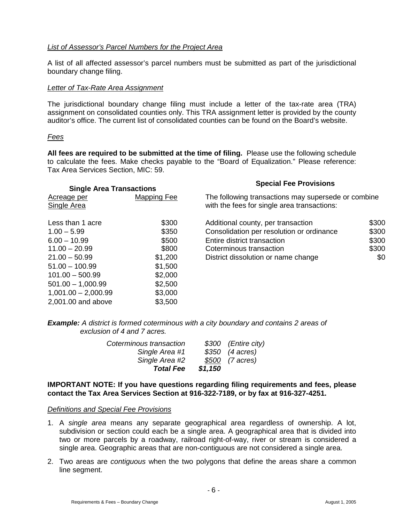#### List of Assessor's Parcel Numbers for the Project Area

A list of all affected assessor's parcel numbers must be submitted as part of the jurisdictional boundary change filing.

#### Letter of Tax-Rate Area Assignment

The jurisdictional boundary change filing must include a letter of the tax-rate area (TRA) assignment on consolidated counties only. This TRA assignment letter is provided by the county auditor's office. The current list of consolidated counties can be found on the Board's website.

#### Fees

**All fees are required to be submitted at the time of filing.** Please use the following schedule to calculate the fees. Make checks payable to the "Board of Equalization." Please reference: Tax Area Services Section, MIC: 59.

| <b>Single Area Transactions</b> |             | <b>Special Fee Provisions</b>                                                                      |       |  |  |
|---------------------------------|-------------|----------------------------------------------------------------------------------------------------|-------|--|--|
| Acreage per<br>Single Area      | Mapping Fee | The following transactions may supersede or combine<br>with the fees for single area transactions: |       |  |  |
| Less than 1 acre                | \$300       | Additional county, per transaction                                                                 | \$300 |  |  |
| $1.00 - 5.99$                   | \$350       | Consolidation per resolution or ordinance                                                          | \$300 |  |  |
| $6.00 - 10.99$                  | \$500       | Entire district transaction                                                                        | \$300 |  |  |
| $11.00 - 20.99$                 | \$800       | Coterminous transaction                                                                            | \$300 |  |  |
| $21.00 - 50.99$                 | \$1,200     | District dissolution or name change                                                                | \$0   |  |  |
| $51.00 - 100.99$                | \$1,500     |                                                                                                    |       |  |  |
| $101.00 - 500.99$               | \$2,000     |                                                                                                    |       |  |  |
| $501.00 - 1,000.99$             | \$2,500     |                                                                                                    |       |  |  |
| $1,001.00 - 2,000.99$           | \$3,000     |                                                                                                    |       |  |  |
| 2,001.00 and above              | \$3,500     |                                                                                                    |       |  |  |

**Example:** A district is formed coterminous with a city boundary and contains 2 areas of exclusion of 4 and 7 acres.

| Coterminous transaction |         | \$300 (Entire city) |
|-------------------------|---------|---------------------|
| Single Area #1          |         | $$350$ (4 acres)    |
| Single Area #2          |         | \$500 (7 acres)     |
| <b>Total Fee</b>        | \$1,150 |                     |

#### **IMPORTANT NOTE: If you have questions regarding filing requirements and fees, please contact the Tax Area Services Section at 916-322-7189, or by fax at 916-327-4251.**

#### Definitions and Special Fee Provisions

- 1. A single area means any separate geographical area regardless of ownership. A lot, subdivision or section could each be a single area. A geographical area that is divided into two or more parcels by a roadway, railroad right-of-way, river or stream is considered a single area. Geographic areas that are non-contiguous are not considered a single area.
- 2. Two areas are *contiguous* when the two polygons that define the areas share a common line segment.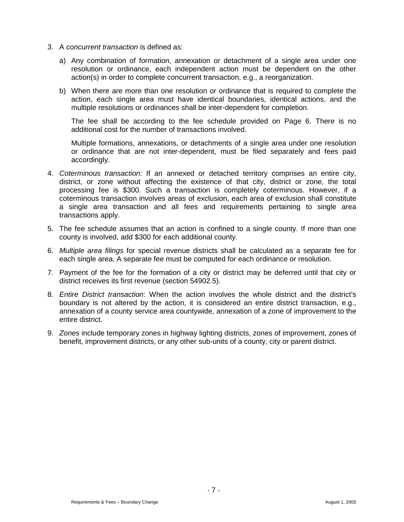- 3. A concurrent transaction is defined as:
	- a) Any combination of formation, annexation or detachment of a single area under one resolution or ordinance, each independent action must be dependent on the other action(s) in order to complete concurrent transaction, e.g., a reorganization.
	- b) When there are more than one resolution or ordinance that is required to complete the action, each single area must have identical boundaries, identical actions, and the multiple resolutions or ordinances shall be inter-dependent for completion.

The fee shall be according to the fee schedule provided on Page 6. There is no additional cost for the number of transactions involved.

Multiple formations, annexations, or detachments of a single area under one resolution or ordinance that are not inter-dependent, must be filed separately and fees paid accordingly.

- 4. Coterminous transaction: If an annexed or detached territory comprises an entire city, district, or zone without affecting the existence of that city, district or zone, the total processing fee is \$300. Such a transaction is completely coterminous. However, if a coterminous transaction involves areas of exclusion, each area of exclusion shall constitute a single area transaction and all fees and requirements pertaining to single area transactions apply.
- 5. The fee schedule assumes that an action is confined to a single county. If more than one county is involved, add \$300 for each additional county.
- 6. Multiple area filings for special revenue districts shall be calculated as a separate fee for each single area. A separate fee must be computed for each ordinance or resolution.
- 7. Payment of the fee for the formation of a city or district may be deferred until that city or district receives its first revenue (section 54902.5).
- 8. Entire District transaction: When the action involves the whole district and the district's boundary is not altered by the action, it is considered an entire district transaction, e.g., annexation of a county service area countywide, annexation of a zone of improvement to the entire district.
- 9. Zones include temporary zones in highway lighting districts, zones of improvement, zones of benefit, improvement districts, or any other sub-units of a county, city or parent district.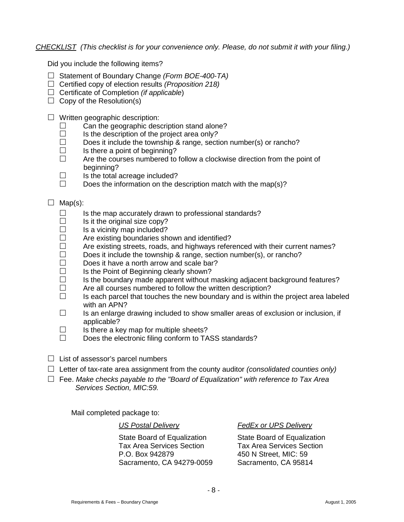CHECKLIST (This checklist is for your convenience only. Please, do not submit it with your filing.)

Did you include the following items?

- $\Box$  Statement of Boundary Change (Form BOE-400-TA)
- $\Box$  Certified copy of election results (Proposition 218)
- $\Box$  Certificate of Completion (if applicable)
- $\Box$  Copy of the Resolution(s)
- $\Box$  Written geographic description:
	- $\Box$  Can the geographic description stand alone?
	- $\Box$  Is the description of the project area only?<br> $\Box$  Does it include the township & range section
	- Does it include the township & range, section number(s) or rancho?
	- $\Box$  Is there a point of beginning?
	- $\Box$  Are the courses numbered to follow a clockwise direction from the point of beginning?
	- $\Box$  Is the total acreage included?
	- $\Box$  Does the information on the description match with the map(s)?

#### $\Box$  Map(s):

- $\Box$  Is the map accurately drawn to professional standards?
- $\square$  Is it the original size copy?<br> $\square$  Is a vicinity map included?
- Is a vicinity map included?
- $\Box$  Are existing boundaries shown and identified?
- $\Box$  Are existing streets, roads, and highways referenced with their current names?
- $\Box$  Does it include the township & range, section number(s), or rancho?
- $\Box$  Does it have a north arrow and scale bar?
- $\square$  Is the Point of Beginning clearly shown?<br> $\square$  Is the boundary made apparent without r
- □ Is the boundary made apparent without masking adjacent background features?<br>□ Are all courses numbered to follow the written description?
- Are all courses numbered to follow the written description?
- $\Box$  Is each parcel that touches the new boundary and is within the project area labeled with an APN?
- $\Box$  Is an enlarge drawing included to show smaller areas of exclusion or inclusion, if applicable?
- $\Box$  Is there a key map for multiple sheets?<br> $\Box$  Does the electronic filing conform to TA
- Does the electronic filing conform to TASS standards?
- $\Box$  List of assessor's parcel numbers
- $\Box$  Letter of tax-rate area assignment from the county auditor (consolidated counties only)
- $\Box$  Fee. Make checks payable to the "Board of Equalization" with reference to Tax Area Services Section, MIC:59.

Mail completed package to:

State Board of Equalization State Board of Equalization Tax Area Services Section Tax Area Services Section P.O. Box 942879 450 N Street, MIC: 59 Sacramento, CA 94279-0059 Sacramento, CA 95814

US Postal Delivery FedEx or UPS Delivery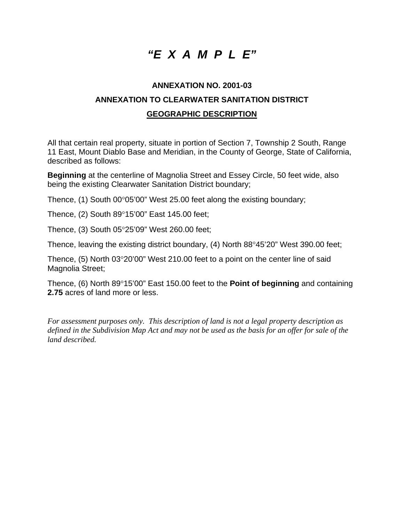## *"E X A M P L E"*

### **ANNEXATION NO. 2001-03 ANNEXATION TO CLEARWATER SANITATION DISTRICT GEOGRAPHIC DESCRIPTION**

All that certain real property, situate in portion of Section 7, Township 2 South, Range 11 East, Mount Diablo Base and Meridian, in the County of George, State of California, described as follows:

**Beginning** at the centerline of Magnolia Street and Essey Circle, 50 feet wide, also being the existing Clearwater Sanitation District boundary;

Thence, (1) South 00°05'00" West 25.00 feet along the existing boundary;

Thence, (2) South 89°15'00" East 145.00 feet;

Thence, (3) South 05°25'09" West 260.00 feet;

Thence, leaving the existing district boundary, (4) North 88°45'20" West 390.00 feet;

Thence, (5) North 03°20'00" West 210.00 feet to a point on the center line of said Magnolia Street;

Thence, (6) North 89°15'00" East 150.00 feet to the **Point of beginning** and containing **2.75** acres of land more or less.

*For assessment purposes only. This description of land is not a legal property description as defined in the Subdivision Map Act and may not be used as the basis for an offer for sale of the land described.*